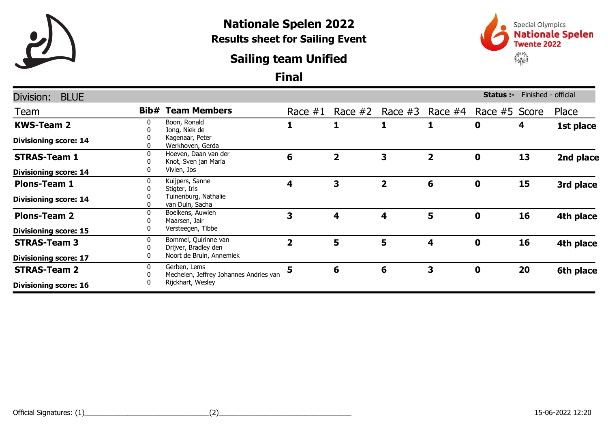

## Nationale Spelen 2022 Results sheet for Sailing Event

### Sailing team Unified



#### Final

| Division:<br><b>BLUE</b>     |        |                                                                             |                         |              |                |           | Status :-     | Finished - official |           |
|------------------------------|--------|-----------------------------------------------------------------------------|-------------------------|--------------|----------------|-----------|---------------|---------------------|-----------|
| Team                         | Bib#   | <b>Team Members</b>                                                         | Race $#1$               | Race $#2$    | Race $#3$      | Race $#4$ | Race #5 Score |                     | Place     |
| <b>KWS-Team 2</b>            | 0<br>0 | Boon, Ronald<br>Jong, Niek de                                               | 1                       | 1            | 1              | 1         | 0             | 4                   | 1st place |
| <b>Divisioning score: 14</b> | 0      | Kagenaar, Peter<br>Werkhoven, Gerda                                         |                         |              |                |           |               |                     |           |
| <b>STRAS-Team 1</b>          | 0      | Hoeven, Daan van der<br>Knot, Sven jan Maria                                | 6                       | $\mathbf{2}$ | 3              | 2         | 0             | 13                  | 2nd place |
| <b>Divisioning score: 14</b> | 0      | Vivien, Jos                                                                 |                         |              |                |           |               |                     |           |
| <b>Plons-Team 1</b>          | 0      | Kuijpers, Sanne<br>Stigter, Iris                                            | 4                       | 3            | $\overline{2}$ | 6         | 0             | 15                  | 3rd place |
| <b>Divisioning score: 14</b> | 0      | Tuinenburg, Nathalie<br>van Duin, Sacha                                     |                         |              |                |           |               |                     |           |
| <b>Plons-Team 2</b>          | 0<br>0 | Boelkens, Auwien<br>Maarsen, Jair<br>Versteegen, Tibbe                      | 3                       | 4            | 4              | 5         | $\mathbf 0$   | 16                  | 4th place |
| <b>Divisioning score: 15</b> | 0      |                                                                             |                         |              |                |           |               |                     |           |
| <b>STRAS-Team 3</b>          | 0<br>0 | Bommel, Quirinne van<br>Drijver, Bradley den                                | $\overline{\mathbf{2}}$ | 5            | 5              | 4         | $\mathbf 0$   | 16                  | 4th place |
| <b>Divisioning score: 17</b> | 0      | Noort de Bruin, Annemiek                                                    |                         |              |                |           |               |                     |           |
| <b>STRAS-Team 2</b>          | 0<br>0 | Gerben, Lems<br>Mechelen, Jeffrey Johannes Andries van<br>Rijckhart, Wesley | 5                       | 6            | 6              | 3         | $\mathbf 0$   | 20                  | 6th place |
| <b>Divisioning score: 16</b> | 0      |                                                                             |                         |              |                |           |               |                     |           |